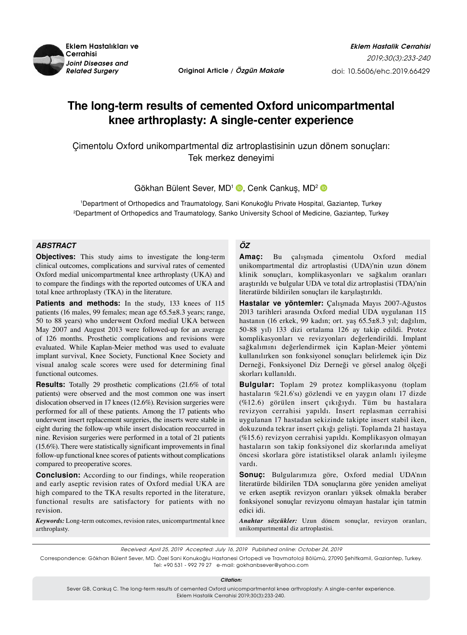

*Related Surgery* **Original Article / Özgün Makale**

# **The long-term results of cemented Oxford unicompartmental knee arthroplasty: A single-center experience**

Çimentolu Oxford unikompartmental diz artroplastisinin uzun dönem sonuçları: Tek merkez deneyimi

Gökhan Bülent Sever, MD<sup>1</sup> D, Cenk Cankus, MD<sup>2</sup> D

1 Department of Orthopedics and Traumatology, Sani Konukoğlu Private Hospital, Gaziantep, Turkey 2 Department of Orthopedics and Traumatology, Sanko University School of Medicine, Gaziantep, Turkey

## *ABSTRACT*

**Objectives:** This study aims to investigate the long-term clinical outcomes, complications and survival rates of cemented Oxford medial unicompartmental knee arthroplasty (UKA) and to compare the findings with the reported outcomes of UKA and total knee arthroplasty (TKA) in the literature.

Patients and methods: In the study, 133 knees of 115 patients (16 males, 99 females; mean age 65.5±8.3 years; range, 50 to 88 years) who underwent Oxford medial UKA between May 2007 and August 2013 were followed-up for an average of 126 months. Prosthetic complications and revisions were evaluated. While Kaplan-Meier method was used to evaluate implant survival, Knee Society, Functional Knee Society and visual analog scale scores were used for determining final functional outcomes.

**Results:** Totally 29 prosthetic complications (21.6% of total patients) were observed and the most common one was insert dislocation observed in 17 knees (12.6%). Revision surgeries were performed for all of these patients. Among the 17 patients who underwent insert replacement surgeries, the inserts were stable in eight during the follow-up while insert dislocation reoccurred in nine. Revision surgeries were performed in a total of 21 patients (15.6%). There were statistically significant improvements in final follow-up functional knee scores of patients without complications compared to preoperative scores.

**Conclusion:** According to our findings, while reoperation and early aseptic revision rates of Oxford medial UKA are high compared to the TKA results reported in the literature, functional results are satisfactory for patients with no revision.

*Keywords:* Long-term outcomes, revision rates, unicompartmental knee arthroplasty.

## *ÖZ*

**Amaç:** Bu çalışmada çimentolu Oxford medial unikompartmental diz artroplastisi (UDA)'nin uzun dönem klinik sonuçları, komplikasyonları ve sağkalım oranları araştırıldı ve bulgular UDA ve total diz artroplastisi (TDA)'nin literatürde bildirilen sonuçları ile karşılaştırıldı.

**Hastalar ve yöntemler:** Çalışmada Mayıs 2007-Ağustos 2013 tarihleri arasında Oxford medial UDA uygulanan 115 hastanın (16 erkek, 99 kadın; ort. yaş 65.5±8.3 yıl; dağılım, 50-88 yıl) 133 dizi ortalama 126 ay takip edildi. Protez komplikasyonları ve revizyonları değerlendirildi. İmplant sağkalımını değerlendirmek için Kaplan-Meier yöntemi kullanılırken son fonksiyonel sonuçları belirlemek için Diz Derneği, Fonksiyonel Diz Derneği ve görsel analog ölçeği skorları kullanıldı.

**Bulgular:** Toplam 29 protez komplikasyonu (toplam hastaların %21.6'sı) gözlendi ve en yaygın olanı 17 dizde (%12.6) görülen insert çıkığıydı. Tüm bu hastalara revizyon cerrahisi yapıldı. Insert replasman cerrahisi uygulanan 17 hastadan sekizinde takipte insert stabil iken, dokuzunda tekrar insert çıkığı gelişti. Toplamda 21 hastaya (%15.6) revizyon cerrahisi yapıldı. Komplikasyon olmayan hastaların son takip fonksiyonel diz skorlarında ameliyat öncesi skorlara göre istatistiksel olarak anlamlı iyileşme vardı.

**Sonuç:** Bulgularımıza göre, Oxford medial UDA'nın literatürde bildirilen TDA sonuçlarına göre yeniden ameliyat ve erken aseptik revizyon oranları yüksek olmakla beraber fonksiyonel sonuçlar revizyonu olmayan hastalar için tatmin edici idi.

*Anahtar sözcükler:* Uzun dönem sonuçlar, revizyon oranları, unikompartmental diz artroplastisi.

Received: April 25, 2019 Accepted: July 16, 2019 *Published online:* October 24, 2019

Correspondence: Gökhan Bülent Sever, MD. Özel Sani Konukoğlu Hastanesi Ortopedi ve Travmatoloji Bölümü, 27090 Şehitkamil, Gaziantep, Turkey. Tel: +90 531 - 992 79 27 e-mail: gokhanbsever@yahoo.com

*Citation:*

Sever GB, Cankuş C. The long-term results of cemented Oxford unicompartmental knee arthroplasty: A single-center experience. Eklem Hastalik Cerrahisi 2019;30(3):233-240.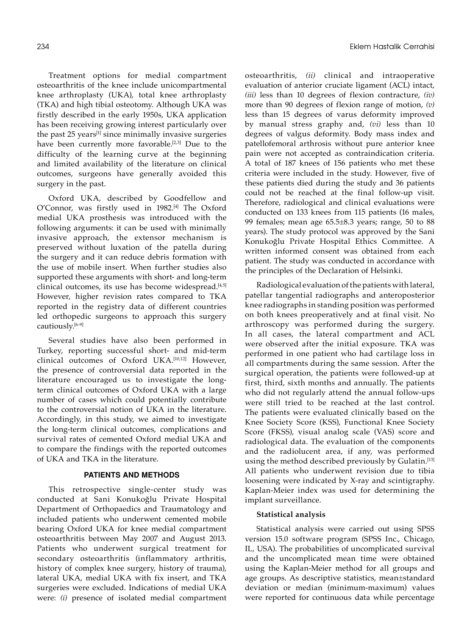Treatment options for medial compartment osteoarthritis of the knee include unicompartmental knee arthroplasty (UKA), total knee arthroplasty (TKA) and high tibial osteotomy. Although UKA was firstly described in the early 1950s, UKA application has been receiving growing interest particularly over the past 25 years<sup>[1]</sup> since minimally invasive surgeries have been currently more favorable.<sup>[2,3]</sup> Due to the difficulty of the learning curve at the beginning and limited availability of the literature on clinical outcomes, surgeons have generally avoided this surgery in the past.

Oxford UKA, described by Goodfellow and O'Connor, was firstly used in 1982.[4] The Oxford medial UKA prosthesis was introduced with the following arguments: it can be used with minimally invasive approach, the extensor mechanism is preserved without luxation of the patella during the surgery and it can reduce debris formation with the use of mobile insert. When further studies also supported these arguments with short- and long-term clinical outcomes, its use has become widespread.<sup>[4,5]</sup> However, higher revision rates compared to TKA reported in the registry data of different countries led orthopedic surgeons to approach this surgery cautiously.<sup>[6-9]</sup>

Several studies have also been performed in Turkey, reporting successful short- and mid-term clinical outcomes of Oxford UKA.[10,12] However, the presence of controversial data reported in the literature encouraged us to investigate the longterm clinical outcomes of Oxford UKA with a large number of cases which could potentially contribute to the controversial notion of UKA in the literature. Accordingly, in this study, we aimed to investigate the long-term clinical outcomes, complications and survival rates of cemented Oxford medial UKA and to compare the findings with the reported outcomes of UKA and TKA in the literature.

#### **PATIENTS AND METHODS**

This retrospective single-center study was conducted at Sani Konukoğlu Private Hospital Department of Orthopaedics and Traumatology and included patients who underwent cemented mobile bearing Oxford UKA for knee medial compartment osteoarthritis between May 2007 and August 2013. Patients who underwent surgical treatment for secondary osteoarthritis (inflammatory arthritis, history of complex knee surgery, history of trauma), lateral UKA, medial UKA with fix insert, and TKA surgeries were excluded. Indications of medial UKA were: *(i)* presence of isolated medial compartment osteoarthritis, *(ii)* clinical and intraoperative evaluation of anterior cruciate ligament (ACL) intact, *(iii)* less than 10 degrees of flexion contracture, *(iv)* more than 90 degrees of flexion range of motion, *(v)* less than 15 degrees of varus deformity improved by manual stress graphy and, *(vi)* less than 10 degrees of valgus deformity. Body mass index and patellofemoral arthrosis without pure anterior knee pain were not accepted as contraindication criteria. A total of 187 knees of 156 patients who met these criteria were included in the study. However, five of these patients died during the study and 36 patients could not be reached at the final follow-up visit. Therefore, radiological and clinical evaluations were conducted on 133 knees from 115 patients (16 males, 99 females; mean age 65.5±8.3 years; range, 50 to 88 years). The study protocol was approved by the Sani Konukoğlu Private Hospital Ethics Committee. A written informed consent was obtained from each patient. The study was conducted in accordance with the principles of the Declaration of Helsinki.

Radiological evaluation of the patients with lateral, patellar tangential radiographs and anteroposterior knee radiographs in standing position was performed on both knees preoperatively and at final visit. No arthroscopy was performed during the surgery. In all cases, the lateral compartment and ACL were observed after the initial exposure. TKA was performed in one patient who had cartilage loss in all compartments during the same session. After the surgical operation, the patients were followed-up at first, third, sixth months and annually. The patients who did not regularly attend the annual follow-ups were still tried to be reached at the last control. The patients were evaluated clinically based on the Knee Society Score (KSS), Functional Knee Society Score (FKSS), visual analog scale (VAS) score and radiological data. The evaluation of the components and the radiolucent area, if any, was performed using the method described previously by Gulatin.<sup>[13]</sup> All patients who underwent revision due to tibia loosening were indicated by X-ray and scintigraphy. Kaplan-Meier index was used for determining the implant surveillance.

#### **Statistical analysis**

Statistical analysis were carried out using SPSS version 15.0 software program (SPSS Inc., Chicago, IL, USA). The probabilities of uncomplicated survival and the uncomplicated mean time were obtained using the Kaplan-Meier method for all groups and age groups. As descriptive statistics, mean±standard deviation or median (minimum-maximum) values were reported for continuous data while percentage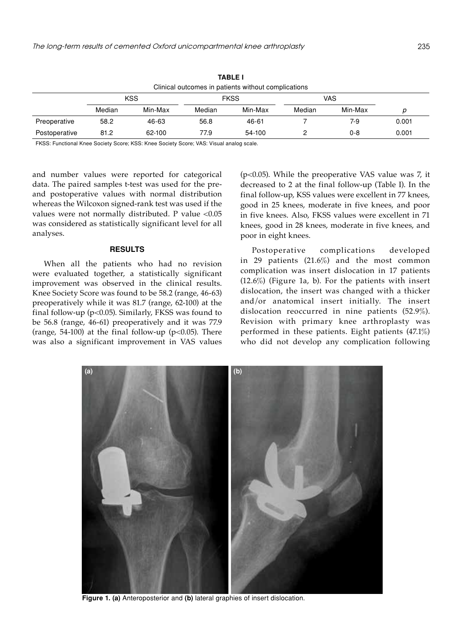| IABLE I<br>Clinical outcomes in patients without complications |        |         |        |         |        |         |       |  |
|----------------------------------------------------------------|--------|---------|--------|---------|--------|---------|-------|--|
|                                                                |        |         |        |         |        |         |       |  |
|                                                                | Median | Min-Max | Median | Min-Max | Median | Min-Max | р     |  |
| Preoperative                                                   | 58.2   | 46-63   | 56.8   | 46-61   |        | $7-9$   | 0.001 |  |
| Postoperative                                                  | 81.2   | 62-100  | 77.9   | 54-100  |        | $0 - 8$ | 0.001 |  |

**Table I**

FKSS: Functional Knee Society Score; KSS: Knee Society Score; VAS: Visual analog scale.

and number values were reported for categorical data. The paired samples t-test was used for the preand postoperative values with normal distribution whereas the Wilcoxon signed-rank test was used if the values were not normally distributed. P value <0.05 was considered as statistically significant level for all analyses.

#### **RESULTS**

When all the patients who had no revision were evaluated together, a statistically significant improvement was observed in the clinical results. Knee Society Score was found to be 58.2 (range, 46-63) preoperatively while it was 81.7 (range, 62-100) at the final follow-up ( $p$ <0.05). Similarly, FKSS was found to be 56.8 (range, 46-61) preoperatively and it was 77.9 (range, 54-100) at the final follow-up ( $p<0.05$ ). There was also a significant improvement in VAS values

(p<0.05). While the preoperative VAS value was 7, it decreased to 2 at the final follow-up (Table I). In the final follow-up, KSS values were excellent in 77 knees, good in 25 knees, moderate in five knees, and poor in five knees. Also, FKSS values were excellent in 71 knees, good in 28 knees, moderate in five knees, and poor in eight knees.

Postoperative complications developed in 29 patients (21.6%) and the most common complication was insert dislocation in 17 patients (12.6%) (Figure 1a, b). For the patients with insert dislocation, the insert was changed with a thicker and/or anatomical insert initially. The insert dislocation reoccurred in nine patients (52.9%). Revision with primary knee arthroplasty was performed in these patients. Eight patients (47.1%) who did not develop any complication following



**Figure 1. (a)** Anteroposterior and **(b)** lateral graphies of insert dislocation.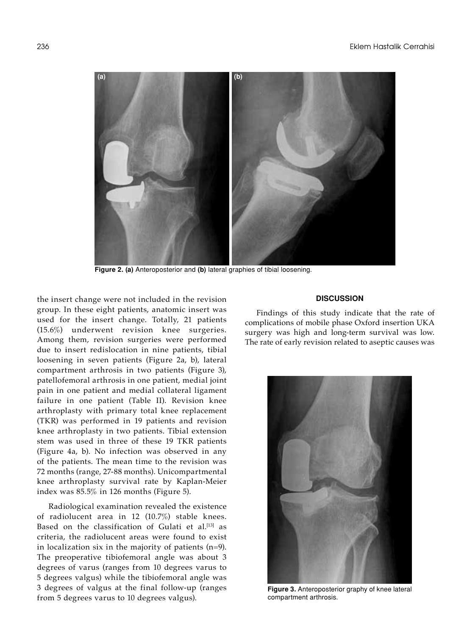

**Figure 2. (a)** Anteroposterior and **(b)** lateral graphies of tibial loosening.

the insert change were not included in the revision group. In these eight patients, anatomic insert was used for the insert change. Totally, 21 patients (15.6%) underwent revision knee surgeries. Among them, revision surgeries were performed due to insert redislocation in nine patients, tibial loosening in seven patients (Figure 2a, b), lateral compartment arthrosis in two patients (Figure 3), patellofemoral arthrosis in one patient, medial joint pain in one patient and medial collateral ligament failure in one patient (Table II). Revision knee arthroplasty with primary total knee replacement (TKR) was performed in 19 patients and revision knee arthroplasty in two patients. Tibial extension stem was used in three of these 19 TKR patients (Figure 4a, b). No infection was observed in any of the patients. The mean time to the revision was 72 months (range, 27-88 months). Unicompartmental knee arthroplasty survival rate by Kaplan-Meier index was 85.5% in 126 months (Figure 5).

Radiological examination revealed the existence of radiolucent area in 12 (10.7%) stable knees. Based on the classification of Gulati et al.<sup>[13]</sup> as criteria, the radiolucent areas were found to exist in localization six in the majority of patients (n=9). The preoperative tibiofemoral angle was about 3 degrees of varus (ranges from 10 degrees varus to 5 degrees valgus) while the tibiofemoral angle was 3 degrees of valgus at the final follow-up (ranges from 5 degrees varus to 10 degrees valgus).

### **DISCUSSION**

Findings of this study indicate that the rate of complications of mobile phase Oxford insertion UKA surgery was high and long-term survival was low. The rate of early revision related to aseptic causes was



**Figure 3.** Anteroposterior graphy of knee lateral compartment arthrosis.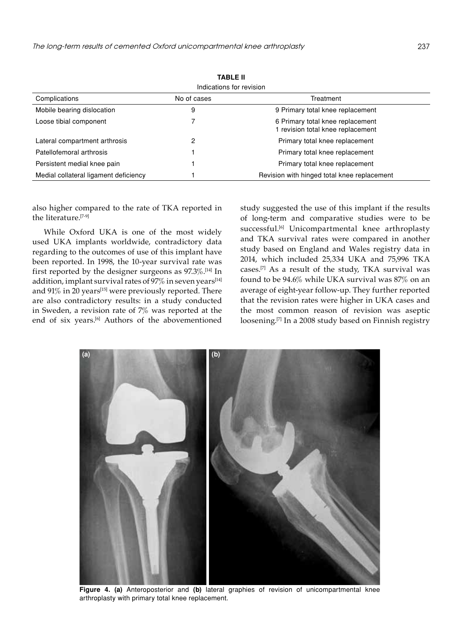| 18955 U<br>Indications for revision |                                                                     |  |  |  |  |  |
|-------------------------------------|---------------------------------------------------------------------|--|--|--|--|--|
|                                     |                                                                     |  |  |  |  |  |
| 9                                   | 9 Primary total knee replacement                                    |  |  |  |  |  |
|                                     | 6 Primary total knee replacement<br>revision total knee replacement |  |  |  |  |  |
| 2                                   | Primary total knee replacement                                      |  |  |  |  |  |
|                                     | Primary total knee replacement                                      |  |  |  |  |  |
|                                     | Primary total knee replacement                                      |  |  |  |  |  |
|                                     | Revision with hinged total knee replacement                         |  |  |  |  |  |
|                                     |                                                                     |  |  |  |  |  |

**Table II**

also higher compared to the rate of TKA reported in the literature.[7-9]

While Oxford UKA is one of the most widely used UKA implants worldwide, contradictory data regarding to the outcomes of use of this implant have been reported. In 1998, the 10-year survival rate was first reported by the designer surgeons as 97.3%.[14] In addition, implant survival rates of  $97\%$  in seven years<sup>[14]</sup> and 91% in 20 years<sup>[15]</sup> were previously reported. There are also contradictory results: in a study conducted in Sweden, a revision rate of 7% was reported at the end of six years.<sup>[6]</sup> Authors of the abovementioned

study suggested the use of this implant if the results of long-term and comparative studies were to be successful.<sup>[6]</sup> Unicompartmental knee arthroplasty and TKA survival rates were compared in another study based on England and Wales registry data in 2014, which included 25,334 UKA and 75,996 TKA cases.[7] As a result of the study, TKA survival was found to be 94.6% while UKA survival was 87% on an average of eight-year follow-up. They further reported that the revision rates were higher in UKA cases and the most common reason of revision was aseptic loosening.<sup>[7]</sup> In a 2008 study based on Finnish registry



**Figure 4. (a)** Anteroposterior and **(b)** lateral graphies of revision of unicompartmental knee arthroplasty with primary total knee replacement.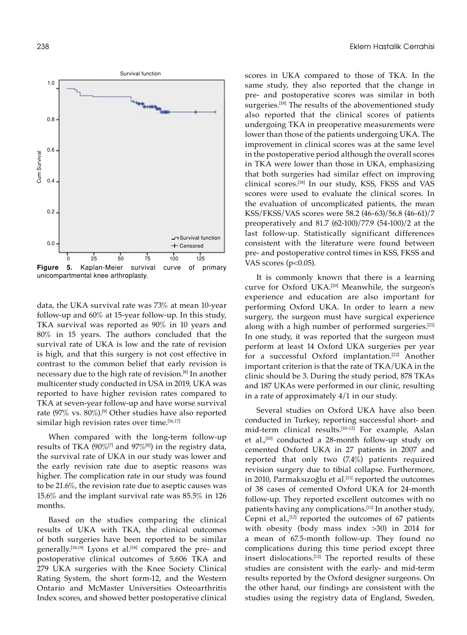

data, the UKA survival rate was 73% at mean 10-year follow-up and 60% at 15-year follow-up. In this study, TKA survival was reported as 90% in 10 years and 80% in 15 years. The authors concluded that the survival rate of UKA is low and the rate of revision is high, and that this surgery is not cost effective in contrast to the common belief that early revision is necessary due to the high rate of revision.[8] In another multicenter study conducted in USA in 2019, UKA was reported to have higher revision rates compared to TKA at seven-year follow-up and have worse survival rate (97% vs. 80%).[9] Other studies have also reported similar high revision rates over time.<sup>[16,17]</sup>

When compared with the long-term follow-up results of TKA (90%[7] and 97%[8]) in the registry data, the survival rate of UKA in our study was lower and the early revision rate due to aseptic reasons was higher. The complication rate in our study was found to be 21.6%, the revision rate due to aseptic causes was 15.6% and the implant survival rate was 85.5% in 126 months.

Based on the studies comparing the clinical results of UKA with TKA, the clinical outcomes of both surgeries have been reported to be similar generally.<sup>[18,19]</sup> Lyons et al.<sup>[18]</sup> compared the pre- and postoperative clinical outcomes of 5,606 TKA and 279 UKA surgeries with the Knee Society Clinical Rating System, the short form-12, and the Western Ontario and McMaster Universities Osteoarthritis Index scores, and showed better postoperative clinical

scores in UKA compared to those of TKA. In the same study, they also reported that the change in pre- and postoperative scores was similar in both surgeries.<sup>[18]</sup> The results of the abovementioned study also reported that the clinical scores of patients undergoing TKA in preoperative measurements were lower than those of the patients undergoing UKA. The improvement in clinical scores was at the same level in the postoperative period although the overall scores in TKA were lower than those in UKA, emphasizing that both surgeries had similar effect on improving clinical scores.[18] In our study, KSS, FKSS and VAS scores were used to evaluate the clinical scores. In the evaluation of uncomplicated patients, the mean KSS/FKSS/VAS scores were 58.2 (46-63)/56.8 (46-61)/7 preoperatively and 81.7 (62-100)/77.9 (54-100)/2 at the last follow-up. Statistically significant differences consistent with the literature were found between pre- and postoperative control times in KSS, FKSS and VAS scores ( $p<0.05$ ).

It is commonly known that there is a learning curve for Oxford UKA.[20] Meanwhile, the surgeon's experience and education are also important for performing Oxford UKA. In order to learn a new surgery, the surgeon must have surgical experience along with a high number of performed surgeries.[21] In one study, it was reported that the surgeon must perform at least 14 Oxford UKA surgeries per year for a successful Oxford implantation.[22] Another important criterion is that the rate of TKA/UKA in the clinic should be 3. During the study period, 878 TKAs and 187 UKAs were performed in our clinic, resulting in a rate of approximately 4/1 in our study.

Several studies on Oxford UKA have also been conducted in Turkey, reporting successful short- and mid-term clinical results.<sup>[10-12]</sup> For example, Aslan et al., $[10]$  conducted a 28-month follow-up study on cemented Oxford UKA in 27 patients in 2007 and reported that only two (7.4%) patients required revision surgery due to tibial collapse. Furthermore, in 2010, Parmaksızoğlu et al.<sup>[11]</sup> reported the outcomes of 38 cases of cemented Oxford UKA for 24-month follow-up. They reported excellent outcomes with no patients having any complications.[11] In another study, Cepni et al.,  $[12]$  reported the outcomes of 67 patients with obesity (body mass index >30) in 2014 for a mean of 67.5-month follow-up. They found no complications during this time period except three insert dislocations.[12] The reported results of these studies are consistent with the early- and mid-term results reported by the Oxford designer surgeons. On the other hand, our findings are consistent with the studies using the registry data of England, Sweden,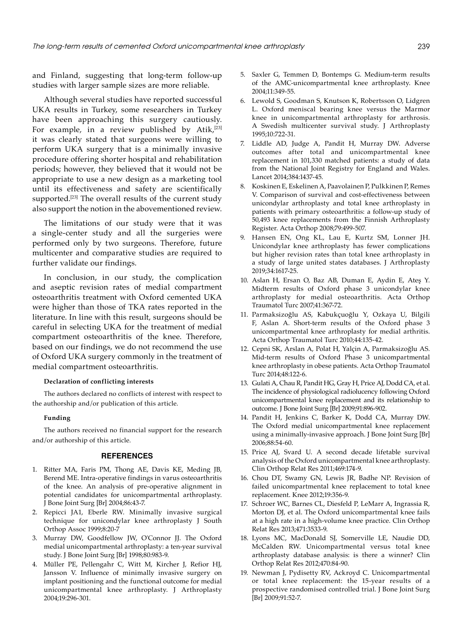and Finland, suggesting that long-term follow-up studies with larger sample sizes are more reliable.

Although several studies have reported successful UKA results in Turkey, some researchers in Turkey have been approaching this surgery cautiously. For example, in a review published by Atik,<sup>[23]</sup> it was clearly stated that surgeons were willing to perform UKA surgery that is a minimally invasive procedure offering shorter hospital and rehabilitation periods; however, they believed that it would not be appropriate to use a new design as a marketing tool until its effectiveness and safety are scientifically supported.<sup>[23]</sup> The overall results of the current study also support the notion in the abovementioned review.

The limitations of our study were that it was a single-center study and all the surgeries were performed only by two surgeons. Therefore, future multicenter and comparative studies are required to further validate our findings.

In conclusion, in our study, the complication and aseptic revision rates of medial compartment osteoarthritis treatment with Oxford cemented UKA were higher than those of TKA rates reported in the literature. In line with this result, surgeons should be careful in selecting UKA for the treatment of medial compartment osteoarthritis of the knee. Therefore, based on our findings, we do not recommend the use of Oxford UKA surgery commonly in the treatment of medial compartment osteoarthritis.

#### **Declaration of conflicting interests**

The authors declared no conflicts of interest with respect to the authorship and/or publication of this article.

#### **Funding**

The authors received no financial support for the research and/or authorship of this article.

#### **REFERENCES**

- 1. Ritter MA, Faris PM, Thong AE, Davis KE, Meding JB, Berend ME. Intra-operative findings in varus osteoarthritis of the knee. An analysis of pre-operative alignment in potential candidates for unicompartmental arthroplasty. J Bone Joint Surg [Br] 2004;86:43-7.
- 2. Repicci JA1, Eberle RW. Minimally invasive surgical technique for unicondylar knee arthroplasty J South Orthop Assoc 1999;8:20-7
- 3. Murray DW, Goodfellow JW, O'Connor JJ. The Oxford medial unicompartmental arthroplasty: a ten-year survival study. J Bone Joint Surg [Br] 1998;80:983-9.
- 4. Müller PE, Pellengahr C, Witt M, Kircher J, Refior HJ, Jansson V. Influence of minimally invasive surgery on implant positioning and the functional outcome for medial unicompartmental knee arthroplasty. J Arthroplasty 2004;19:296-301.
- 5. Saxler G, Temmen D, Bontemps G. Medium-term results of the AMC-unicompartmental knee arthroplasty. Knee 2004;11:349-55.
- 6. Lewold S, Goodman S, Knutson K, Robertsson O, Lidgren L. Oxford meniscal bearing knee versus the Marmor knee in unicompartmental arthroplasty for arthrosis. A Swedish multicenter survival study. J Arthroplasty 1995;10:722-31.
- 7. Liddle AD, Judge A, Pandit H, Murray DW. Adverse outcomes after total and unicompartmental knee replacement in 101,330 matched patients: a study of data from the National Joint Registry for England and Wales. Lancet 2014;384:1437-45.
- 8. Koskinen E, Eskelinen A, Paavolainen P, Pulkkinen P, Remes V. Comparison of survival and cost-effectiveness between unicondylar arthroplasty and total knee arthroplasty in patients with primary osteoarthritis: a follow-up study of 50,493 knee replacements from the Finnish Arthroplasty Register. Acta Orthop 2008;79:499-507.
- 9. Hansen EN, Ong KL, Lau E, Kurtz SM, Lonner JH. Unicondylar knee arthroplasty has fewer complications but higher revision rates than total knee arthroplasty in a study of large united states databases. J Arthroplasty 2019;34:1617-25.
- 10. Aslan H, Ersan O, Baz AB, Duman E, Aydin E, Ateş Y. Midterm results of Oxford phase 3 unicondylar knee arthroplasty for medial osteoarthritis. Acta Orthop Traumatol Turc 2007;41:367-72.
- 11. Parmaksizoğlu AS, Kabukçuoğlu Y, Ozkaya U, Bilgili F, Aslan A. Short-term results of the Oxford phase 3 unicompartmental knee arthroplasty for medial arthritis. Acta Orthop Traumatol Turc 2010;44:135-42.
- 12. Cepni SK, Arslan A, Polat H, Yalçin A, Parmaksizoğlu AS. Mid-term results of Oxford Phase 3 unicompartmental knee arthroplasty in obese patients. Acta Orthop Traumatol Turc 2014;48:122-6.
- 13. Gulati A, Chau R, Pandit HG, Gray H, Price AJ, Dodd CA, et al. The incidence of physiological radiolucency following Oxford unicompartmental knee replacement and its relationship to outcome. J Bone Joint Surg [Br] 2009;91:896-902.
- 14. Pandit H, Jenkins C, Barker K, Dodd CA, Murray DW. The Oxford medial unicompartmental knee replacement using a minimally-invasive approach. J Bone Joint Surg [Br] 2006;88:54-60.
- 15. Price AJ, Svard U. A second decade lifetable survival analysis of the Oxford unicompartmental knee arthroplasty. Clin Orthop Relat Res 2011;469:174-9.
- 16. Chou DT, Swamy GN, Lewis JR, Badhe NP. Revision of failed unicompartmental knee replacement to total knee replacement. Knee 2012;19:356-9.
- 17. Schroer WC, Barnes CL, Diesfeld P, LeMarr A, Ingrassia R, Morton DJ, et al. The Oxford unicompartmental knee fails at a high rate in a high-volume knee practice. Clin Orthop Relat Res 2013;471:3533-9.
- 18. Lyons MC, MacDonald SJ, Somerville LE, Naudie DD, McCalden RW. Unicompartmental versus total knee arthroplasty database analysis: is there a winner? Clin Orthop Relat Res 2012;470:84-90.
- 19. Newman J, Pydisetty RV, Ackroyd C. Unicompartmental or total knee replacement: the 15-year results of a prospective randomised controlled trial. J Bone Joint Surg [Br] 2009;91:52-7.